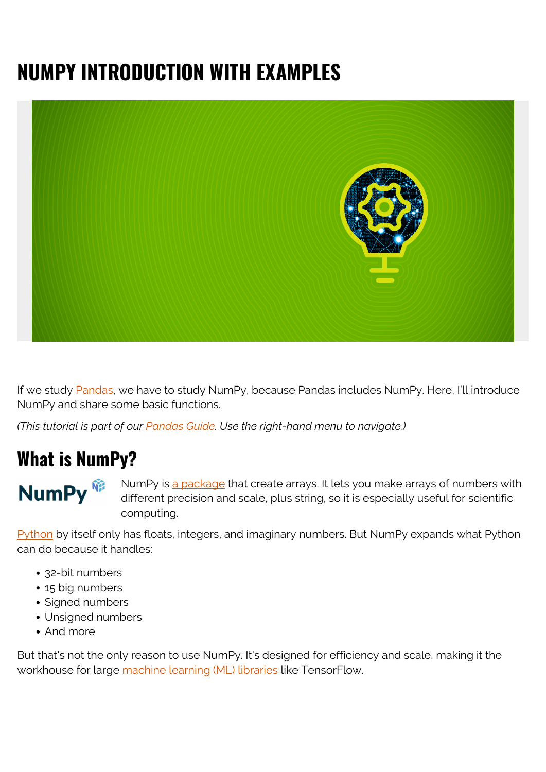# **NUMPY INTRODUCTION WITH EXAMPLES**



If we study [Pandas](https://blogs.bmc.com/blogs/pandas-basics/), we have to study NumPy, because Pandas includes NumPy. Here, I'll introduce NumPy and share some basic functions.

*(This tutorial is part of our [Pandas Guide](https://blogs.bmc.com/blogs/pandas-basics/). Use the right-hand menu to navigate.)*

#### **What is NumPy?**

NumPy<sup>®</sup>

NumPy is [a package](https://numpy.org/) that create arrays. It lets you make arrays of numbers with different precision and scale, plus string, so it is especially useful for scientific computing.

[Python](https://blogs.bmc.com/blogs/python-vs-java/) by itself only has floats, integers, and imaginary numbers. But NumPy expands what Python can do because it handles:

- 32-bit numbers
- 15 big numbers
- Signed numbers
- Unsigned numbers
- And more

But that's not the only reason to use NumPy. It's designed for efficiency and scale, making it the workhouse for large [machine learning \(ML\) libraries](https://blogs.bmc.com/blogs/machine-learning-ai-frameworks/) like TensorFlow.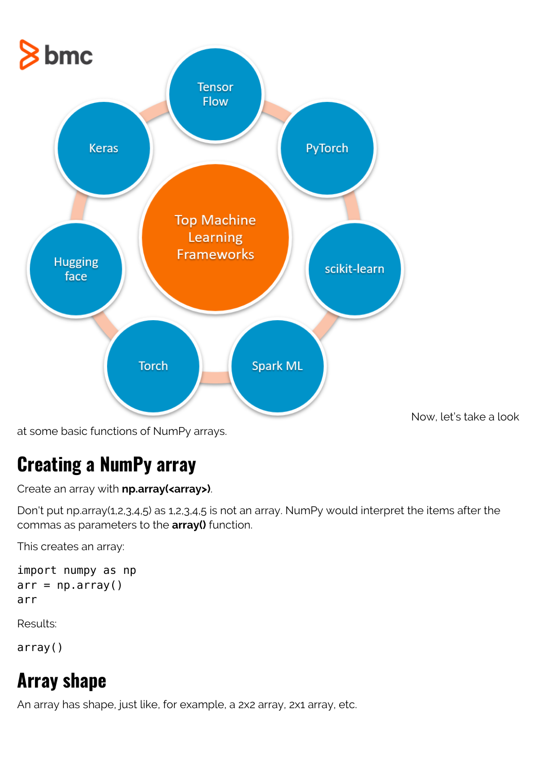

at some basic functions of NumPy arrays.

## **Creating a NumPy array**

Create an array with **np.array(<array>)**.

Don't put np.array(1,2,3,4,5) as 1,2,3,4,5 is not an array. NumPy would interpret the items after the commas as parameters to the **array()** function.

This creates an array:

```
import numpy as np
arr = np.array()arr
```
Results:

array()

# **Array shape**

An array has shape, just like, for example, a 2x2 array, 2x1 array, etc.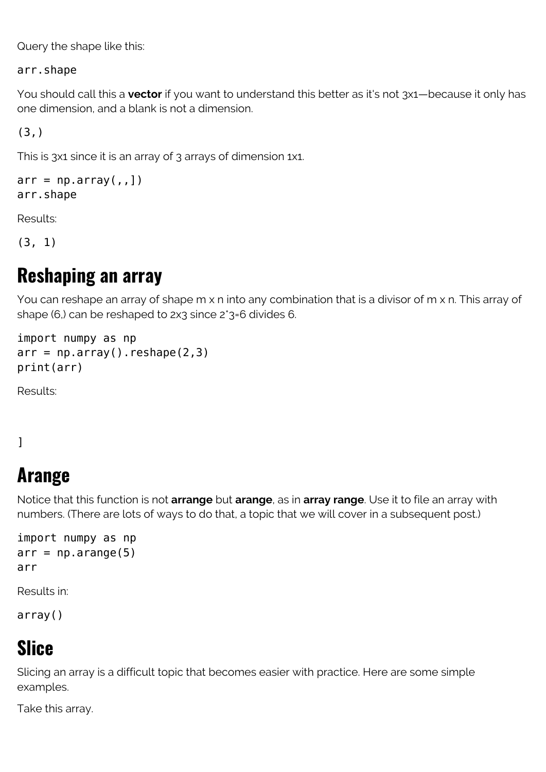Query the shape like this:

arr.shape

You should call this a **vector** if you want to understand this better as it's not 3x1—because it only has one dimension, and a blank is not a dimension.

(3,)

This is 3x1 since it is an array of 3 arrays of dimension 1x1.

```
arr = np.array(,,])
arr.shape
```
Results:

(3, 1)

#### **Reshaping an array**

You can reshape an array of shape m x n into any combination that is a divisor of m x n. This array of shape (6,) can be reshaped to 2x3 since 2\*3=6 divides 6.

```
import numpy as np
arr = np.array(). reshape(2,3)print(arr)
```
Results:

#### ]

### **Arange**

Notice that this function is not **arrange** but **arange**, as in **array range**. Use it to file an array with numbers. (There are lots of ways to do that, a topic that we will cover in a subsequent post.)

```
import numpy as np
arr = np.arange(5)arr
```
Results in:

array()

### **Slice**

Slicing an array is a difficult topic that becomes easier with practice. Here are some simple examples.

Take this array.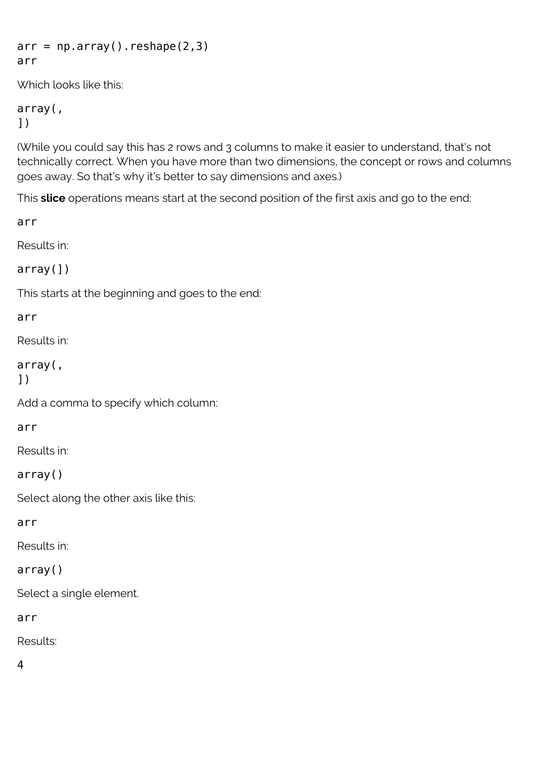```
arr = np.array().reshape(2,3)arr
```
Which looks like this:

```
array(,
])
```
(While you could say this has 2 rows and 3 columns to make it easier to understand, that's not technically correct. When you have more than two dimensions, the concept or rows and columns goes away. So that's why it's better to say dimensions and axes.)

This **slice** operations means start at the second position of the first axis and go to the end:

arr

Results in:

```
array(])
```
This starts at the beginning and goes to the end:

#### arr

Results in:

```
array(,
])
```
Add a comma to specify which column:

arr

Results in:

array()

Select along the other axis like this:

arr

Results in:

#### array()

Select a single element.

arr

Results:

4